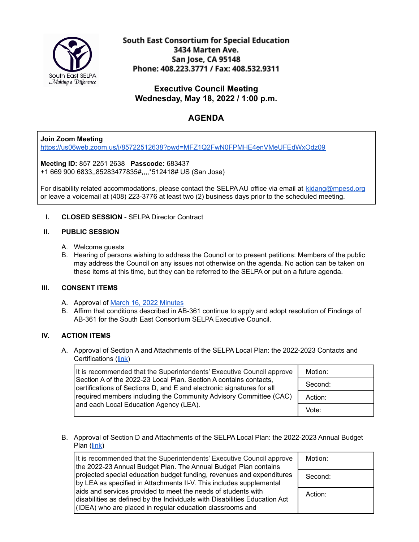

South East Consortium for Special Education 3434 Marten Ave. San Jose, CA 95148 Phone: 408.223.3771 / Fax: 408.532.9311

**Executive Council Meeting Wednesday, May 18, 2022 / 1:00 p.m.**

# **AGENDA**

# **Join Zoom Meeting**

<https://us06web.zoom.us/j/85722512638?pwd=MFZ1Q2FwN0FPMHE4enVMeUFEdWxOdz09>

**Meeting ID:** 857 2251 2638 **Passcode:** 683437 +1 669 900 6833,,85283477835#,,,,\*512418# US (San Jose)

For disability related accommodations, please contact the SELPA AU office via email at [kidang@mpesd.org](mailto:kidang@mpesd.org) or leave a voicemail at (408) 223-3776 at least two (2) business days prior to the scheduled meeting.

## **I. CLOSED SESSION** - SELPA Director Contract

#### **II. PUBLIC SESSION**

- A. Welcome guests
- B. Hearing of persons wishing to address the Council or to present petitions: Members of the public may address the Council on any issues not otherwise on the agenda. No action can be taken on these items at this time, but they can be referred to the SELPA or put on a future agenda.

## **III. CONSENT ITEMS**

- A. Approval of March 16, 2022 [Minutes](https://docs.google.com/document/d/1SrUNN4iAQACJmRJ-IWKlSWp1EqNftIZN7ltPBB6Ss5Y/edit?usp=sharing)
- B. Affirm that conditions described in AB-361 continue to apply and adopt resolution of Findings of AB-361 for the South East Consortium SELPA Executive Council.

# **IV. ACTION ITEMS**

A. Approval of Section A and Attachments of the SELPA Local Plan: the 2022-2023 Contacts and Certifications ([link\)](https://drive.google.com/file/d/1K4_bdIYN3AgWn6ndMEimME4ubuB4RTpQ/view?usp=sharing)

| It is recommended that the Superintendents' Executive Council approve                                                                      | Motion: |
|--------------------------------------------------------------------------------------------------------------------------------------------|---------|
| Section A of the 2022-23 Local Plan. Section A contains contacts,<br>certifications of Sections D, and E and electronic signatures for all | Second: |
| required members including the Community Advisory Committee (CAC)<br>and each Local Education Agency (LEA).                                | Action: |
|                                                                                                                                            | Vote:   |

B. Approval of Section D and Attachments of the SELPA Local Plan: the 2022-2023 Annual Budget Plan [\(link](https://drive.google.com/file/d/1MRXG3RpU38gL3BvuWg0y6QqZ_oIoSK7b/view?usp=sharing))

| It is recommended that the Superintendents' Executive Council approve<br>the 2022-23 Annual Budget Plan. The Annual Budget Plan contains                                                                 | Motion: |
|----------------------------------------------------------------------------------------------------------------------------------------------------------------------------------------------------------|---------|
| projected special education budget funding, revenues and expenditures<br>by LEA as specified in Attachments II-V. This includes supplemental                                                             | Second: |
| aids and services provided to meet the needs of students with<br>disabilities as defined by the Individuals with Disabilities Education Act<br>(IDEA) who are placed in regular education classrooms and | Action: |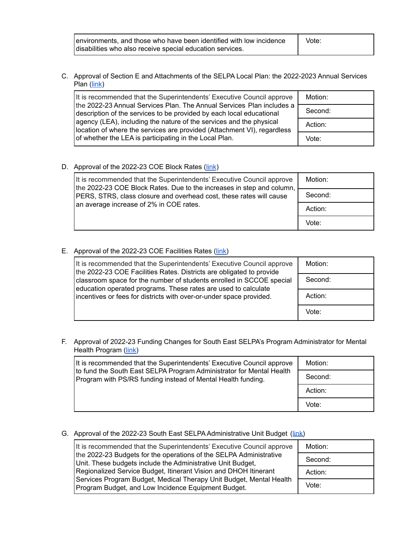| environments, and those who have been identified with low incidence | Vote: |  |
|---------------------------------------------------------------------|-------|--|
| disabilities who also receive special education services.           |       |  |

C. Approval of Section E and Attachments of the SELPA Local Plan: the 2022-2023 Annual Services Plan [\(link](https://drive.google.com/file/d/1tso6yk9HwunNutKTnXPO76gJZOCjcCjr/view?usp=sharing))

| It is recommended that the Superintendents' Executive Council approve                                                                          | Motion: |
|------------------------------------------------------------------------------------------------------------------------------------------------|---------|
| the 2022-23 Annual Services Plan. The Annual Services Plan includes a<br>description of the services to be provided by each local educational  | Second: |
| agency (LEA), including the nature of the services and the physical<br>location of where the services are provided (Attachment VI), regardless | Action: |
| of whether the LEA is participating in the Local Plan.                                                                                         | Vote:   |

#### D. Approval of the 2022-23 COE Block Rates [\(link](https://drive.google.com/file/d/17EHTtGWFN9axWHqxjPc2YY3rd5_AqSDd/view?usp=sharing))

| It is recommended that the Superintendents' Executive Council approve<br>the 2022-23 COE Block Rates. Due to the increases in step and column,<br>PERS, STRS, class closure and overhead cost, these rates will cause<br>an average increase of 2% in COE rates. | Motion: |
|------------------------------------------------------------------------------------------------------------------------------------------------------------------------------------------------------------------------------------------------------------------|---------|
|                                                                                                                                                                                                                                                                  | Second: |
|                                                                                                                                                                                                                                                                  | Action: |
|                                                                                                                                                                                                                                                                  | Vote:   |

#### E. Approval of the 2022-23 COE Facilities Rates ([link\)](https://drive.google.com/file/d/1i1-rIMQqFSwCxXlVkk6wweFlREGoCitm/view?usp=sharing)

| It is recommended that the Superintendents' Executive Council approve<br>the 2022-23 COE Facilities Rates. Districts are obligated to provide | Motion: |
|-----------------------------------------------------------------------------------------------------------------------------------------------|---------|
| classroom space for the number of students enrolled in SCCOE special<br>education operated programs. These rates are used to calculate        | Second: |
| incentives or fees for districts with over-or-under space provided.                                                                           | Action: |
|                                                                                                                                               | Vote:   |

# F. Approval of 2022-23 Funding Changes for South East SELPA's Program Administrator for Mental Health Program [\(link](https://drive.google.com/file/d/1kaZO0xkAZqNKIIYvO1xstBbdweHX341L/view?usp=sharing))

| It is recommended that the Superintendents' Executive Council approve                                                                | Motion: |
|--------------------------------------------------------------------------------------------------------------------------------------|---------|
| to fund the South East SELPA Program Administrator for Mental Health<br>Program with PS/RS funding instead of Mental Health funding. | Second: |
|                                                                                                                                      | Action: |
|                                                                                                                                      | Vote:   |

## G. Approval of the 2022-23 South East SELPA Administrative Unit Budget ([link\)](https://drive.google.com/file/d/11RRXmX91YAg3a7WTJeecePqt5IpvMhld/view?usp=sharing)

| It is recommended that the Superintendents' Executive Council approve                                                             | Motion: |
|-----------------------------------------------------------------------------------------------------------------------------------|---------|
| the 2022-23 Budgets for the operations of the SELPA Administrative<br>Unit. These budgets include the Administrative Unit Budget, | Second: |
| Regionalized Service Budget, Itinerant Vision and DHOH Itinerant                                                                  | Action: |
| Services Program Budget, Medical Therapy Unit Budget, Mental Health<br>Program Budget, and Low Incidence Equipment Budget.        | Vote:   |